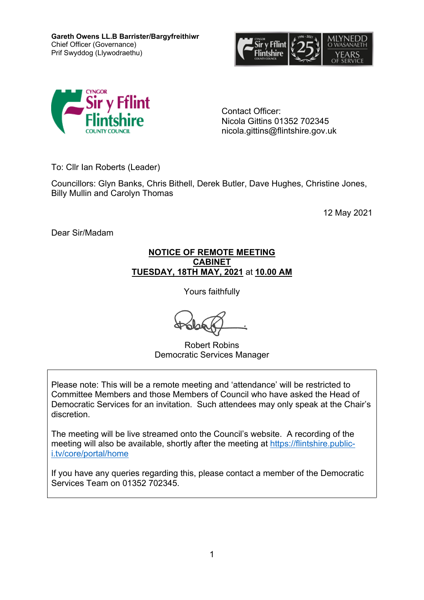**Gareth Owens LL.B Barrister/Bargyfreithiwr** Chief Officer (Governance) Prif Swyddog (Llywodraethu)





Contact Officer: Nicola Gittins 01352 702345 nicola.gittins@flintshire.gov.uk

To: Cllr Ian Roberts (Leader)

Councillors: Glyn Banks, Chris Bithell, Derek Butler, Dave Hughes, Christine Jones, Billy Mullin and Carolyn Thomas

12 May 2021

Dear Sir/Madam

#### **NOTICE OF REMOTE MEETING CABINET TUESDAY, 18TH MAY, 2021** at **10.00 AM**

Yours faithfully

Robert Robins Democratic Services Manager

Please note: This will be a remote meeting and 'attendance' will be restricted to Committee Members and those Members of Council who have asked the Head of Democratic Services for an invitation. Such attendees may only speak at the Chair's discretion.

The meeting will be live streamed onto the Council's website. A recording of the meeting will also be available, shortly after the meeting at [https://flintshire.public](https://flintshire.public-i.tv/core/portal/home)[i.tv/core/portal/home](https://flintshire.public-i.tv/core/portal/home)

If you have any queries regarding this, please contact a member of the Democratic Services Team on 01352 702345.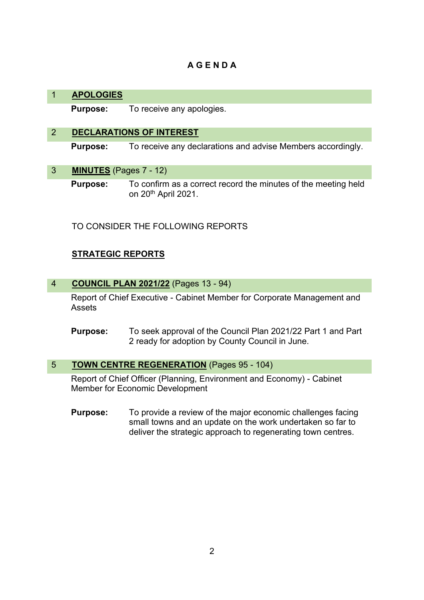# **A G E N D A**

## 1 **APOLOGIES**

**Purpose:** To receive any apologies.

## 2 **DECLARATIONS OF INTEREST**

**Purpose:** To receive any declarations and advise Members accordingly.

3 **MINUTES** (Pages 7 - 12)

**Purpose:** To confirm as a correct record the minutes of the meeting held on 20th April 2021.

TO CONSIDER THE FOLLOWING REPORTS

## **STRATEGIC REPORTS**

## 4 **COUNCIL PLAN 2021/22** (Pages 13 - 94)

Report of Chief Executive - Cabinet Member for Corporate Management and Assets

**Purpose:** To seek approval of the Council Plan 2021/22 Part 1 and Part 2 ready for adoption by County Council in June.

## 5 **TOWN CENTRE REGENERATION** (Pages 95 - 104)

Report of Chief Officer (Planning, Environment and Economy) - Cabinet Member for Economic Development

**Purpose:** To provide a review of the major economic challenges facing small towns and an update on the work undertaken so far to deliver the strategic approach to regenerating town centres.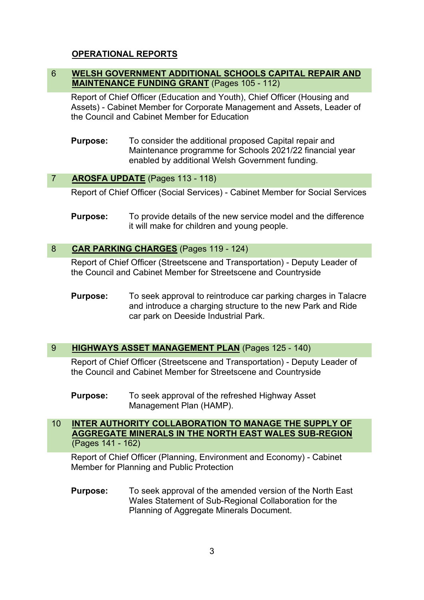## **OPERATIONAL REPORTS**

## 6 **WELSH GOVERNMENT ADDITIONAL SCHOOLS CAPITAL REPAIR AND MAINTENANCE FUNDING GRANT** (Pages 105 - 112)

Report of Chief Officer (Education and Youth), Chief Officer (Housing and Assets) - Cabinet Member for Corporate Management and Assets, Leader of the Council and Cabinet Member for Education

**Purpose:** To consider the additional proposed Capital repair and Maintenance programme for Schools 2021/22 financial year enabled by additional Welsh Government funding.

## 7 **AROSFA UPDATE** (Pages 113 - 118)

Report of Chief Officer (Social Services) - Cabinet Member for Social Services

**Purpose:** To provide details of the new service model and the difference it will make for children and young people.

#### 8 **CAR PARKING CHARGES** (Pages 119 - 124)

Report of Chief Officer (Streetscene and Transportation) - Deputy Leader of the Council and Cabinet Member for Streetscene and Countryside

**Purpose:** To seek approval to reintroduce car parking charges in Talacre and introduce a charging structure to the new Park and Ride car park on Deeside Industrial Park.

#### 9 **HIGHWAYS ASSET MANAGEMENT PLAN** (Pages 125 - 140)

Report of Chief Officer (Streetscene and Transportation) - Deputy Leader of the Council and Cabinet Member for Streetscene and Countryside

**Purpose:** To seek approval of the refreshed Highway Asset Management Plan (HAMP).

#### 10 **INTER AUTHORITY COLLABORATION TO MANAGE THE SUPPLY OF AGGREGATE MINERALS IN THE NORTH EAST WALES SUB-REGION** (Pages 141 - 162)

Report of Chief Officer (Planning, Environment and Economy) - Cabinet Member for Planning and Public Protection

**Purpose:** To seek approval of the amended version of the North East Wales Statement of Sub-Regional Collaboration for the Planning of Aggregate Minerals Document.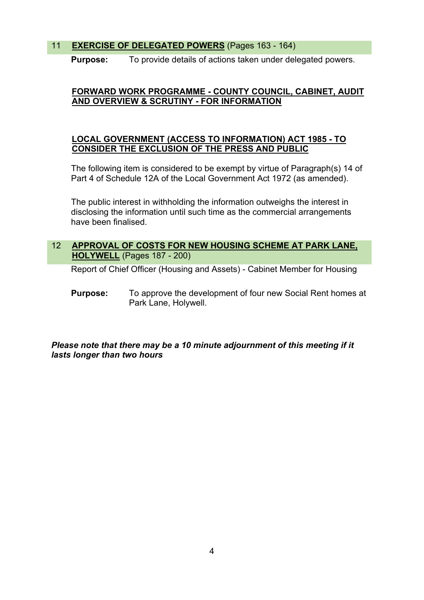## 11 **EXERCISE OF DELEGATED POWERS** (Pages 163 - 164)

**Purpose:** To provide details of actions taken under delegated powers.

## **FORWARD WORK PROGRAMME - COUNTY COUNCIL, CABINET, AUDIT AND OVERVIEW & SCRUTINY - FOR INFORMATION**

## **LOCAL GOVERNMENT (ACCESS TO INFORMATION) ACT 1985 - TO CONSIDER THE EXCLUSION OF THE PRESS AND PUBLIC**

The following item is considered to be exempt by virtue of Paragraph(s) 14 of Part 4 of Schedule 12A of the Local Government Act 1972 (as amended).

The public interest in withholding the information outweighs the interest in disclosing the information until such time as the commercial arrangements have been finalised.

## 12 **APPROVAL OF COSTS FOR NEW HOUSING SCHEME AT PARK LANE, HOLYWELL** (Pages 187 - 200)

Report of Chief Officer (Housing and Assets) - Cabinet Member for Housing

**Purpose:** To approve the development of four new Social Rent homes at Park Lane, Holywell.

## *Please note that there may be a 10 minute adjournment of this meeting if it lasts longer than two hours*